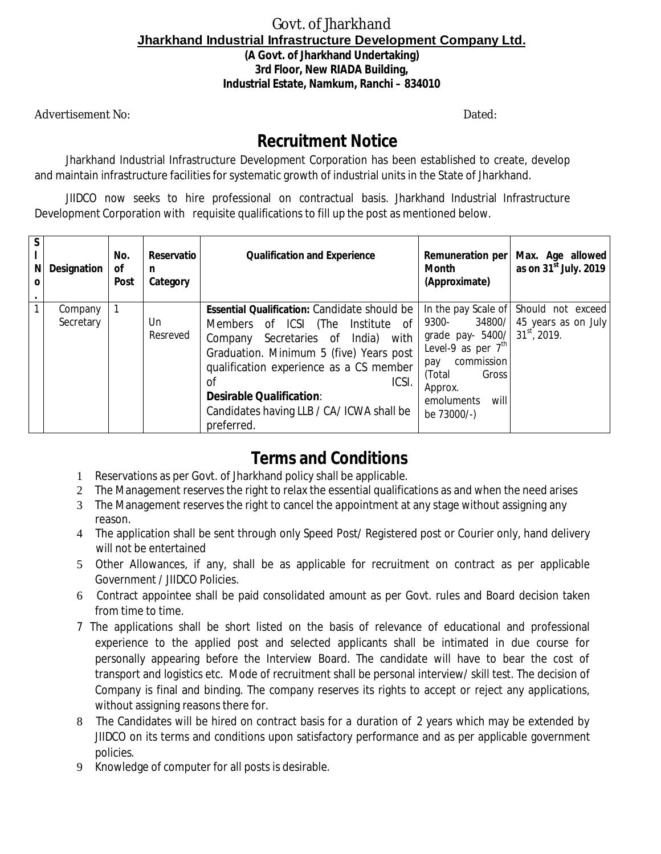## Govt. of Jharkhand **Jharkhand Industrial Infrastructure Development Company Ltd. (A Govt. of Jharkhand Undertaking) 3rd Floor, New RIADA Building, Industrial Estate, Namkum, Ranchi – 834010**

Advertisement No: Dated: Dated: Dated: Dated: Dated: Dated: Dated: Dated: Dated: Dated: Dated: Dated: Dated: Dated: Dated: Dated: Dated: Dated: Dated: Dated: Dated: Dated: Dated: Dated: Dated: Dated: Dated: Dated: Dated: D

## **Recruitment Notice**

Jharkhand Industrial Infrastructure Development Corporation has been established to create, develop and maintain infrastructure facilities for systematic growth of industrial units in the State of Jharkhand.

JIIDCO now seeks to hire professional on contractual basis. Jharkhand Industrial Infrastructure Development Corporation with requisite qualifications to fill up the post as mentioned below.

| N | <b>Designation</b>   | No.<br>οf<br><b>Post</b> | Reservatio<br>n<br>Category | <b>Qualification and Experience</b>                                                                                                                                                                                                                                                                                                                 | Remuneration per<br><b>Month</b><br>(Approximate)                                                                                                                           | Max. Age allowed<br>as on $31st$ July. 2019                |
|---|----------------------|--------------------------|-----------------------------|-----------------------------------------------------------------------------------------------------------------------------------------------------------------------------------------------------------------------------------------------------------------------------------------------------------------------------------------------------|-----------------------------------------------------------------------------------------------------------------------------------------------------------------------------|------------------------------------------------------------|
|   | Company<br>Secretary |                          | Un<br>Resreved              | <b>Essential Qualification: Candidate should be</b><br>Members of ICSI<br>of<br>(The<br>Institute<br>with<br>Secretaries of<br>India)<br>Company<br>Graduation. Minimum 5 (five) Years post<br>qualification experience as a CS member<br>ICSI.<br>Ωf<br><b>Desirable Qualification:</b><br>Candidates having LLB / CA/ ICWA shall be<br>preferred. | In the pay Scale of<br>34800/<br>9300-<br>grade pay- 5400/<br>Level-9 as per $7th$<br>commission<br>pay<br>(Total)<br>Gross<br>Approx.<br>emoluments<br>will<br>be 73000/-) | Should not exceed<br>45 years as on July<br>$31st$ , 2019. |

## **Terms and Conditions**

- 1 Reservations as per Govt. of Jharkhand policy shall be applicable.
- 2 The Management reserves the right to relax the essential qualifications as and when the need arises
- 3 The Management reserves the right to cancel the appointment at any stage without assigning any reason.
- 4 The application shall be sent through only Speed Post/ Registered post or Courier only, hand delivery will not be entertained
- 5 Other Allowances, if any, shall be as applicable for recruitment on contract as per applicable Government / JIIDCO Policies.
- 6 Contract appointee shall be paid consolidated amount as per Govt. rules and Board decision taken from time to time.
- 7 The applications shall be short listed on the basis of relevance of educational and professional experience to the applied post and selected applicants shall be intimated in due course for personally appearing before the Interview Board. The candidate will have to bear the cost of transport and logistics etc. Mode of recruitment shall be personal interview/ skill test. The decision of Company is final and binding. The company reserves its rights to accept or reject any applications, without assigning reasons there for.
- 8 The Candidates will be hired on contract basis for a duration of 2 years which may be extended by JIIDCO on its terms and conditions upon satisfactory performance and as per applicable government policies.
- 9 Knowledge of computer for all posts is desirable.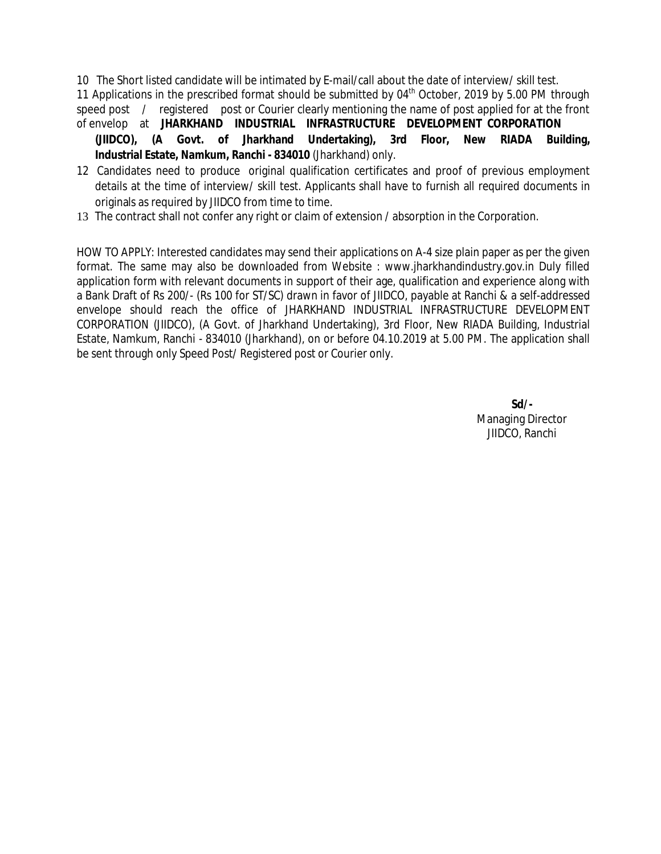10 The Short listed candidate will be intimated by E-mail/call about the date of interview/ skill test.

11 Applications in the prescribed format should be submitted by  $04<sup>th</sup>$  October, 2019 by 5.00 PM through speed post / registered post or Courier clearly mentioning the name of post applied for at the front of envelop at **JHARKHAND INDUSTRIAL INFRASTRUCTURE DEVELOPMENT CORPORATION**

- **(JIIDCO), (A Govt. of Jharkhand Undertaking), 3rd Floor, New RIADA Building, Industrial Estate, Namkum, Ranchi - 834010** (Jharkhand) only.
- 12 Candidates need to produce original qualification certificates and proof of previous employment details at the time of interview/ skill test. Applicants shall have to furnish all required documents in originals as required by JIIDCO from time to time.
- 13 The contract shall not confer any right or claim of extension / absorption in the Corporation.

HOW TO APPLY: Interested candidates may send their applications on A-4 size plain paper as per the given format. The same may also be downloaded from Website : www.jharkhandindustry.gov.in Duly filled application form with relevant documents in support of their age, qualification and experience along with a Bank Draft of Rs 200/- (Rs 100 for ST/SC) drawn in favor of JIIDCO, payable at Ranchi & a self-addressed envelope should reach the office of JHARKHAND INDUSTRIAL INFRASTRUCTURE DEVELOPMENT CORPORATION (JIIDCO), (A Govt. of Jharkhand Undertaking), 3rd Floor, New RIADA Building, Industrial Estate, Namkum, Ranchi - 834010 (Jharkhand), on or before 04.10.2019 at 5.00 PM. The application shall be sent through only Speed Post/ Registered post or Courier only.

> **Sd/-** Managing Director JIIDCO, Ranchi